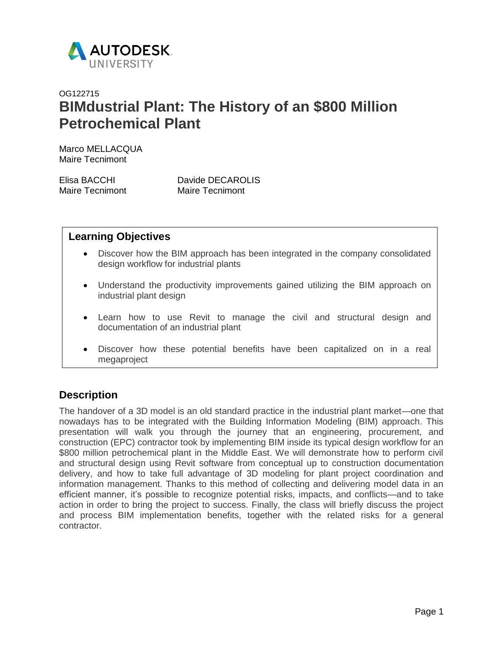

# OG122715 **BIMdustrial Plant: The History of an \$800 Million Petrochemical Plant**

Marco MELLACQUA Maire Tecnimont

| Elisa BACCHI    | Davide DECAROLIS       |
|-----------------|------------------------|
| Maire Tecnimont | <b>Maire Tecnimont</b> |

## **Learning Objectives**

- Discover how the BIM approach has been integrated in the company consolidated design workflow for industrial plants
- Understand the productivity improvements gained utilizing the BIM approach on industrial plant design
- Learn how to use Revit to manage the civil and structural design and documentation of an industrial plant
- Discover how these potential benefits have been capitalized on in a real megaproject

## **Description**

The handover of a 3D model is an old standard practice in the industrial plant market—one that nowadays has to be integrated with the Building Information Modeling (BIM) approach. This presentation will walk you through the journey that an engineering, procurement, and construction (EPC) contractor took by implementing BIM inside its typical design workflow for an \$800 million petrochemical plant in the Middle East. We will demonstrate how to perform civil and structural design using Revit software from conceptual up to construction documentation delivery, and how to take full advantage of 3D modeling for plant project coordination and information management. Thanks to this method of collecting and delivering model data in an efficient manner, it's possible to recognize potential risks, impacts, and conflicts—and to take action in order to bring the project to success. Finally, the class will briefly discuss the project and process BIM implementation benefits, together with the related risks for a general contractor.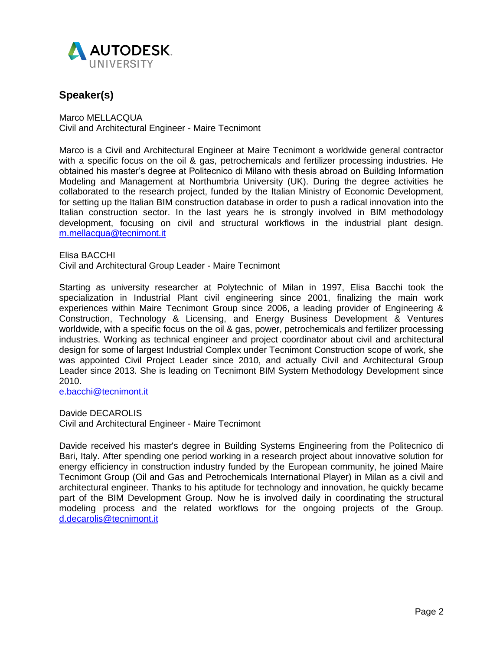

## **Speaker(s)**

[Marco MELLACQUA](https://autodeskuniversity.smarteventscloud.com/connect/speakerDetail.ww?PERSON_ID=D2AB81AC1D8642E39862703AFE9BF3BA&tclass=popup) Civil and Architectural Engineer - Maire Tecnimont

Marco is a Civil and Architectural Engineer at Maire Tecnimont a worldwide general contractor with a specific focus on the oil & gas, petrochemicals and fertilizer processing industries. He obtained his master's degree at Politecnico di Milano with thesis abroad on Building Information Modeling and Management at Northumbria University (UK). During the degree activities he collaborated to the research project, funded by the Italian Ministry of Economic Development, for setting up the Italian BIM construction database in order to push a radical innovation into the Italian construction sector. In the last years he is strongly involved in BIM methodology development, focusing on civil and structural workflows in the industrial plant design. [m.mellacqua@tecnimont.it](mailto:m.mellacqua@tecnimont.it)

[Elisa BA](https://autodeskuniversity.smarteventscloud.com/connect/speakerDetail.ww?PERSON_ID=04A3C5CA0312A0AE3E80CA721EE30EBA&tclass=popup)CCHI Civil and Architectural Group Leader - Maire Tecnimont

Starting as university researcher at Polytechnic of Milan in 1997, Elisa Bacchi took the specialization in Industrial Plant civil engineering since 2001, finalizing the main work experiences within Maire Tecnimont Group since 2006, a leading provider of Engineering & Construction, Technology & Licensing, and Energy Business Development & Ventures worldwide, with a specific focus on the oil & gas, power, petrochemicals and fertilizer processing industries. Working as technical engineer and project coordinator about civil and architectural design for some of largest Industrial Complex under Tecnimont Construction scope of work, she was appointed Civil Project Leader since 2010, and actually Civil and Architectural Group Leader since 2013. She is leading on Tecnimont BIM System Methodology Development since 2010.

[e.bacchi@tecnimont.it](mailto:e.bacchi@tecnimont.it)

[Davide DE](https://autodeskuniversity.smarteventscloud.com/connect/speakerDetail.ww?PERSON_ID=A43A62AEC003671B87450363E62FB9BD&tclass=popup)CAROLIS Civil and Architectural Engineer - Maire Tecnimont

Davide received his master's degree in Building Systems Engineering from the Politecnico di Bari, Italy. After spending one period working in a research project about innovative solution for energy efficiency in construction industry funded by the European community, he joined Maire Tecnimont Group (Oil and Gas and Petrochemicals International Player) in Milan as a civil and architectural engineer. Thanks to his aptitude for technology and innovation, he quickly became part of the BIM Development Group. Now he is involved daily in coordinating the structural modeling process and the related workflows for the ongoing projects of the Group. [d.decarolis@tecnimont.it](mailto:d.decarolis@tecnimont.it)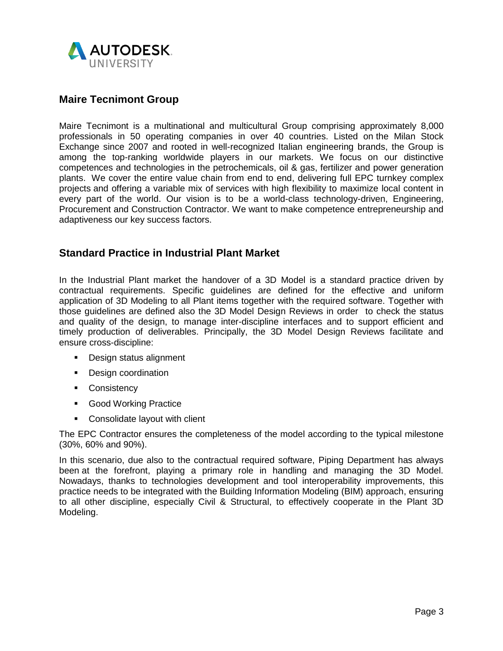

#### **Maire Tecnimont Group**

Maire Tecnimont is a multinational and multicultural Group comprising approximately 8,000 professionals in 50 operating companies in over 40 countries. Listed on the Milan Stock Exchange since 2007 and rooted in well-recognized Italian engineering brands, the Group is among the top-ranking worldwide players in our markets. We focus on our distinctive competences and technologies in the petrochemicals, oil & gas, fertilizer and power generation plants. We cover the entire value chain from end to end, delivering full EPC turnkey complex projects and offering a variable mix of services with high flexibility to maximize local content in every part of the world. Our vision is to be a world-class technology-driven, Engineering, Procurement and Construction Contractor. We want to make competence entrepreneurship and adaptiveness our key success factors.

#### **Standard Practice in Industrial Plant Market**

In the Industrial Plant market the handover of a 3D Model is a standard practice driven by contractual requirements. Specific guidelines are defined for the effective and uniform application of 3D Modeling to all Plant items together with the required software. Together with those guidelines are defined also the 3D Model Design Reviews in order to check the status and quality of the design, to manage inter-discipline interfaces and to support efficient and timely production of deliverables. Principally, the 3D Model Design Reviews facilitate and ensure cross-discipline:

- **Design status alignment**
- **Design coordination**
- **Consistency**
- **Good Working Practice**
- Consolidate layout with client

The EPC Contractor ensures the completeness of the model according to the typical milestone (30%, 60% and 90%).

In this scenario, due also to the contractual required software, Piping Department has always been [at the forefront,](http://context.reverso.net/traduzione/inglese-italiano/be+at+the+forefront) playing a primary role in handling and managing the 3D Model. Nowadays, thanks to technologies development and tool interoperability improvements, this practice needs to be integrated with the Building Information Modeling (BIM) approach, ensuring to all other discipline, especially Civil & Structural, to effectively cooperate in the Plant 3D Modeling.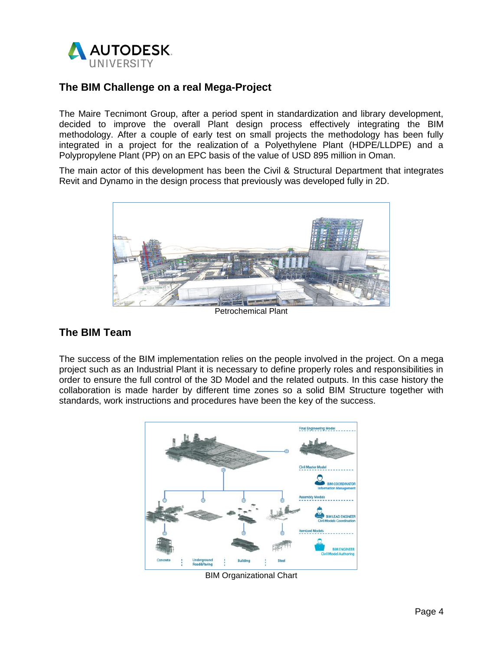

## **The BIM Challenge on a real Mega-Project**

The Maire Tecnimont Group, after a period spent in standardization and library development, decided to improve the overall Plant design process effectively integrating the BIM methodology. After a couple of early test on small projects the methodology has been fully integrated in a project for the realization of a Polyethylene Plant (HDPE/LLDPE) and a Polypropylene Plant (PP) on an EPC basis of the value of USD 895 million in Oman.

The main actor of this development has been the Civil & Structural Department that integrates Revit and Dynamo in the design process that previously was developed fully in 2D.



Petrochemical Plant

## **The BIM Team**

The success of the BIM implementation relies on the people involved in the project. On a mega project such as an Industrial Plant it is necessary to define properly roles and responsibilities in order to ensure the full control of the 3D Model and the related outputs. In this case history the collaboration is made harder by different time zones so a solid BIM Structure together with standards, work instructions and procedures have been the key of the success.



BIM Organizational Chart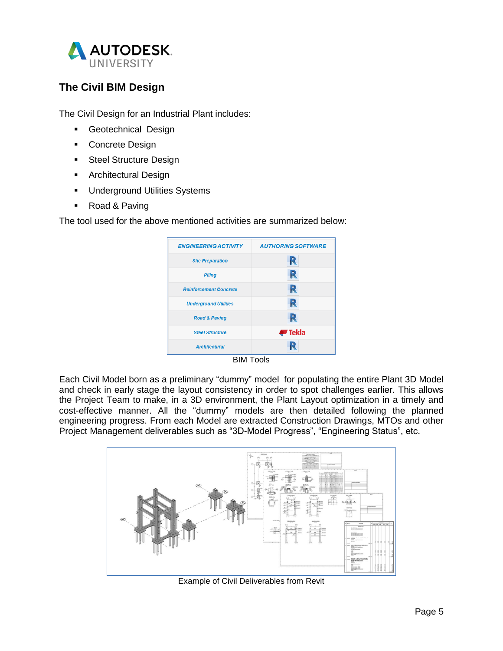

## **The Civil BIM Design**

The Civil Design for an Industrial Plant includes:

- **Geotechnical Design**
- **Concrete Design**
- **Steel Structure Design**
- **Architectural Design**
- **Underground Utilities Systems**
- Road & Paving

The tool used for the above mentioned activities are summarized below:

| <b>ENGINEERING ACTIVITY</b>   | <b>AUTHORING SOFTWARE</b> |
|-------------------------------|---------------------------|
| <b>Site Preparation</b>       | R                         |
| <b>Piling</b>                 | R                         |
| <b>Reinforcement Concrete</b> | R                         |
| <b>Underground Utilities</b>  | R                         |
| <b>Road &amp; Paving</b>      | R                         |
| <b>Steel Structure</b>        | <b>₩</b> Tekla            |
| <b>Architectural</b>          |                           |

BIM Tools

Each Civil Model born as a preliminary "dummy" model for populating the entire Plant 3D Model and check in early stage the layout consistency in order to spot challenges earlier. This allows the Project Team to make, in a 3D environment, the Plant Layout optimization in a timely and cost-effective manner. All the "dummy" models are then detailed following the planned engineering progress. From each Model are extracted Construction Drawings, MTOs and other Project Management deliverables such as "3D-Model Progress", "Engineering Status", etc.



Example of Civil Deliverables from Revit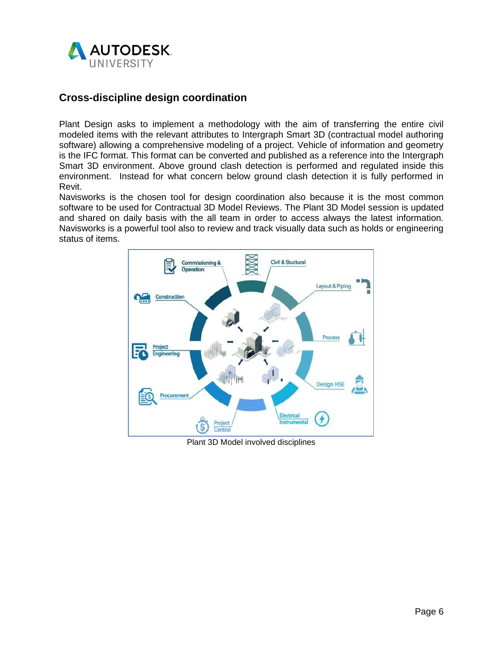

#### **Cross-discipline design coordination**

Plant Design asks to implement a methodology with the aim of transferring the entire civil modeled items with the relevant attributes to Intergraph Smart 3D (contractual model authoring software) allowing a comprehensive modeling of a project. Vehicle of information and geometry is the IFC format. This format can be converted and published as a reference into the Intergraph Smart 3D environment. Above ground clash detection is performed and regulated inside this environment. Instead for what concern below ground clash detection it is fully performed in Revit.

Navisworks is the chosen tool for design coordination also because it is the most common software to be used for Contractual 3D Model Reviews. The Plant 3D Model session is updated and shared on daily basis with the all team in order to access always the latest information. Navisworks is a powerful tool also to review and track visually data such as holds or engineering status of items.



Plant 3D Model involved disciplines